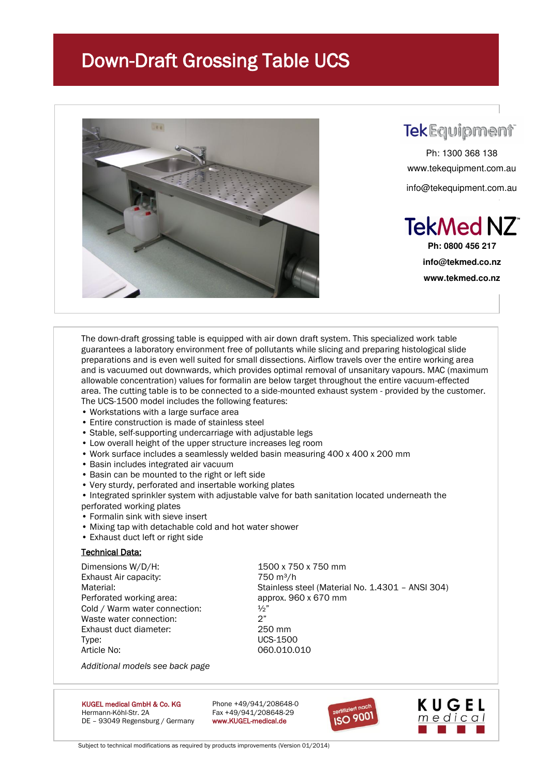# Down-Draft Grossing Table UCS



### **TekEquipment**

Ph: 1300 368 138 www.tekequipment.com.au info@tekequipment.com.au



**Ph: 0800 456 217 info@tekmed.co.nz www.tekmed.co.nz** 

The down-draft grossing table is equipped with air down draft system. This specialized work table guarantees a laboratory environment free of pollutants while slicing and preparing histological slide preparations and is even well suited for small dissections. Airflow travels over the entire working area and is vacuumed out downwards, which provides optimal removal of unsanitary vapours. MAC (maximum allowable concentration) values for formalin are below target throughout the entire vacuum-effected area. The cutting table is to be connected to a side-mounted exhaust system - provided by the customer. The UCS-1500 model includes the following features:

- Workstations with a large surface area
- Entire construction is made of stainless steel
- Stable, self-supporting undercarriage with adjustable legs
- Low overall height of the upper structure increases leg room
- Work surface includes a seamlessly welded basin measuring 400 x 400 x 200 mm
- Basin includes integrated air vacuum
- Basin can be mounted to the right or left side
- Very sturdy, perforated and insertable working plates
- Integrated sprinkler system with adjustable valve for bath sanitation located underneath the perforated working plates
- Formalin sink with sieve insert
- Mixing tap with detachable cold and hot water shower
- Exhaust duct left or right side

#### **Technical Data:**

Dimensions W/D/H: 1500 x 750 x 750 mm Exhaust Air capacity: 750 m<sup>3</sup>/h Perforated working area: approx. 960 x 670 mm Cold / Warm water connection:  $\frac{1}{2}$ " Waste water connection: 2" Exhaust duct diameter: 250 mm Type: UCS-1500 Article No: 060.010.010

Material: Material: Stainless steel (Material No. 1.4301 – ANSI 304)

*Additional models see back page*

KUGEL medical GmbH & Co. KG Phone +49/941/208648-0 Hermann-Köhl-Str. 2A Fax +49/941/208648-29 DE - 93049 Regensburg / Germany www.KUGEL-medical.de





Subject to technical modifications as required by products improvements (Version 01/2014)